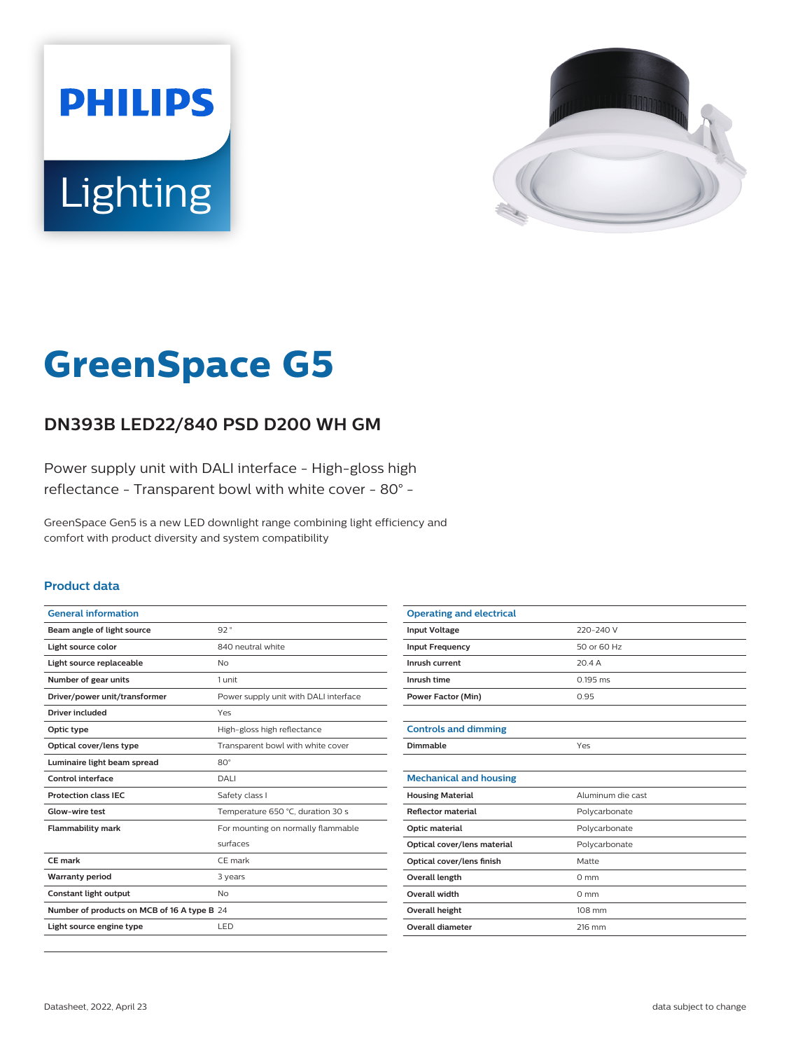



# **GreenSpace G5**

## **DN393B LED22/840 PSD D200 WH GM**

Power supply unit with DALI interface - High-gloss high reflectance - Transparent bowl with white cover - 80° -

GreenSpace Gen5 is a new LED downlight range combining light efficiency and comfort with product diversity and system compatibility

#### **Product data**

| <b>General information</b>                  |                                       |
|---------------------------------------------|---------------------------------------|
| Beam angle of light source                  | 92°                                   |
| Light source color                          | 840 neutral white                     |
| Light source replaceable                    | No                                    |
| Number of gear units                        | 1 unit                                |
| Driver/power unit/transformer               | Power supply unit with DALI interface |
| Driver included                             | Yes                                   |
| Optic type                                  | High-gloss high reflectance           |
| Optical cover/lens type                     | Transparent bowl with white cover     |
| Luminaire light beam spread                 | $80^\circ$                            |
| Control interface                           | DALI                                  |
| <b>Protection class IEC</b>                 | Safety class I                        |
| Glow-wire test                              | Temperature 650 °C, duration 30 s     |
| <b>Flammability mark</b>                    | For mounting on normally flammable    |
|                                             | surfaces                              |
| CE mark                                     | CE mark                               |
| <b>Warranty period</b>                      | 3 years                               |
| <b>Constant light output</b>                | No                                    |
| Number of products on MCB of 16 A type B 24 |                                       |
| Light source engine type                    | LED                                   |

| <b>Operating and electrical</b> |                   |
|---------------------------------|-------------------|
| <b>Input Voltage</b>            | 220-240 V         |
| <b>Input Frequency</b>          | 50 or 60 Hz       |
| Inrush current                  | 20.4A             |
| Inrush time                     | $0.195$ ms        |
| <b>Power Factor (Min)</b>       | 0.95              |
|                                 |                   |
| <b>Controls and dimming</b>     |                   |
| Dimmable                        | Yes               |
|                                 |                   |
| <b>Mechanical and housing</b>   |                   |
| <b>Housing Material</b>         | Aluminum die cast |
| <b>Reflector material</b>       | Polycarbonate     |
| Optic material                  | Polycarbonate     |
| Optical cover/lens material     | Polycarbonate     |
| Optical cover/lens finish       | Matte             |
| Overall length                  | $0 \text{ mm}$    |
| Overall width                   | $0 \text{ mm}$    |
| Overall height                  | 108 mm            |
| <b>Overall diameter</b>         | 216 mm            |
|                                 |                   |